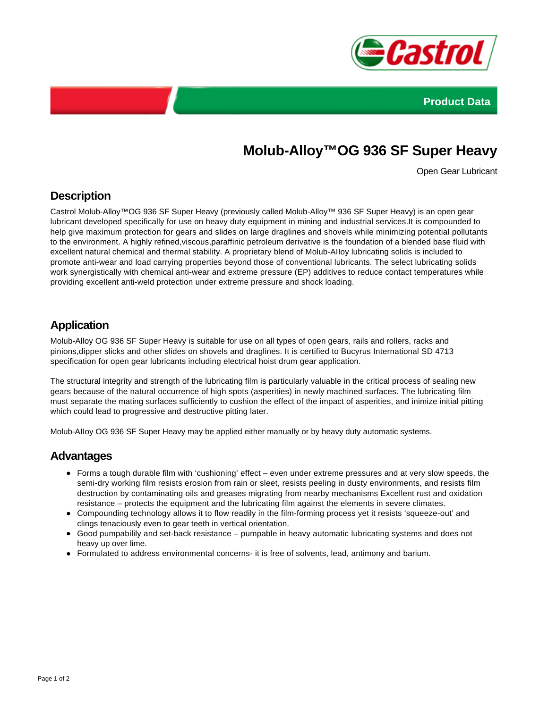



# **Molub-Alloy™OG 936 SF Super Heavy**

Open Gear Lubricant

#### **Description**

Castrol Molub-Alloy™OG 936 SF Super Heavy (previously called Molub-Alloy™ 936 SF Super Heavy) is an open gear lubricant developed specifically for use on heavy duty equipment in mining and industrial services.It is compounded to help give maximum protection for gears and slides on large draglines and shovels while minimizing potential pollutants to the environment. A highly refined,viscous,paraffinic petroleum derivative is the foundation of a blended base fluid with excellent natural chemical and thermal stability. A proprietary blend of Molub-AIIoy lubricating solids is included to promote anti-wear and load carrying properties beyond those of conventional lubricants. The select lubricating solids work synergistically with chemical anti-wear and extreme pressure (EP) additives to reduce contact temperatures while providing excellent anti-weld protection under extreme pressure and shock loading.

### **Application**

Molub-Alloy OG 936 SF Super Heavy is suitable for use on all types of open gears, rails and rollers, racks and pinions,dipper slicks and other slides on shovels and draglines. It is certified to Bucyrus International SD 4713 specification for open gear lubricants including electrical hoist drum gear application.

The structural integrity and strength of the lubricating film is particularly valuable in the critical process of sealing new gears because of the natural occurrence of high spots (asperities) in newly machined surfaces. The lubricating film must separate the mating surfaces sufficiently to cushion the effect of the impact of asperities, and inimize initial pitting which could lead to progressive and destructive pitting later.

Molub-AIIoy OG 936 SF Super Heavy may be applied either manually or by heavy duty automatic systems.

#### **Advantages**

- Forms a tough durable film with 'cushioning' effect even under extreme pressures and at very slow speeds, the semi-dry working film resists erosion from rain or sleet, resists peeling in dusty environments, and resists film destruction by contaminating oils and greases migrating from nearby mechanisms Excellent rust and oxidation resistance – protects the equipment and the lubricating film against the elements in severe climates.
- Compounding technology allows it to flow readily in the film-forming process yet it resists 'squeeze-out' and clings tenaciously even to gear teeth in vertical orientation.
- Good pumpabilily and set-back resistance pumpable in heavy automatic lubricating systems and does not heavy up over lime.
- Formulated to address environmental concerns- it is free of solvents, lead, antimony and barium.